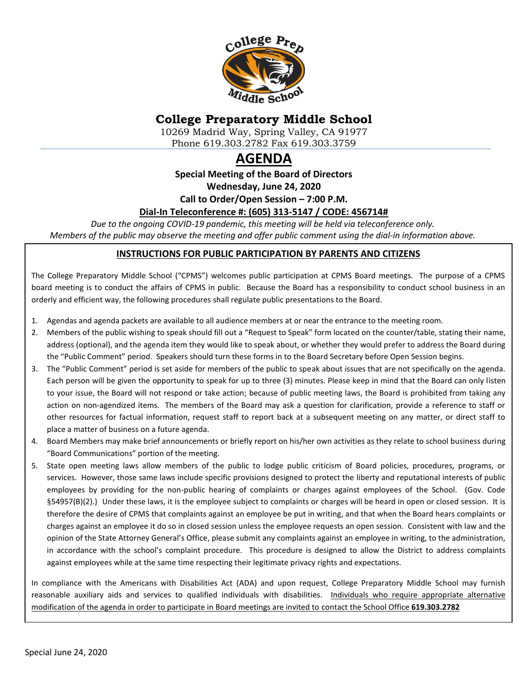

# **College Preparatory Middle School**

10269 Madrid Way, Spring Valley, CA 91977 Phone 619.303.2782 Fax 619.303.3759

# **AGENDA**

**Special Meeting of the Board of Directors**

**Wednesday, June 24, 2020**

**Call to Order/Open Session – 7:00 P.M.**

#### **Dial-In Teleconference #: (605) 313-5147 / CODE: 456714#**

*Due to the ongoing COVID-19 pandemic, this meeting will be held via teleconference only. Members of the public may observe the meeting and offer public comment using the dial-in information above.*

#### **INSTRUCTIONS FOR PUBLIC PARTICIPATION BY PARENTS AND CITIZENS**

The College Preparatory Middle School ("CPMS") welcomes public participation at CPMS Board meetings. The purpose of a CPMS board meeting is to conduct the affairs of CPMS in public. Because the Board has a responsibility to conduct school business in an orderly and efficient way, the following procedures shall regulate public presentations to the Board.

- 1. Agendas and agenda packets are available to all audience members at or near the entrance to the meeting room.
- 2. Members of the public wishing to speak should fill out a "Request to Speak" form located on the counter/table, stating their name, address (optional), and the agenda item they would like to speak about, or whether they would prefer to address the Board during the "Public Comment" period. Speakers should turn these forms in to the Board Secretary before Open Session begins.
- 3. The "Public Comment" period is set aside for members of the public to speak about issues that are not specifically on the agenda. Each person will be given the opportunity to speak for up to three (3) minutes. Please keep in mind that the Board can only listen to your issue, the Board will not respond or take action; because of public meeting laws, the Board is prohibited from taking any action on non-agendized items. The members of the Board may ask a question for clarification, provide a reference to staff or other resources for factual information, request staff to report back at a subsequent meeting on any matter, or direct staff to place a matter of business on a future agenda.
- 4. Board Members may make brief announcements or briefly report on his/her own activities as they relate to school business during "Board Communications" portion of the meeting.
- 5. State open meeting laws allow members of the public to lodge public criticism of Board policies, procedures, programs, or services. However, those same laws include specific provisions designed to protect the liberty and reputational interests of public employees by providing for the non-public hearing of complaints or charges against employees of the School. (Gov. Code §54957(B)(2).) Under these laws, it is the employee subject to complaints or charges will be heard in open or closed session. It is therefore the desire of CPMS that complaints against an employee be put in writing, and that when the Board hears complaints or charges against an employee it do so in closed session unless the employee requests an open session. Consistent with law and the opinion of the State Attorney General's Office, please submit any complaints against an employee in writing, to the administration, in accordance with the school's complaint procedure. This procedure is designed to allow the District to address complaints against employees while at the same time respecting their legitimate privacy rights and expectations.

In compliance with the Americans with Disabilities Act (ADA) and upon request, College Preparatory Middle School may furnish reasonable auxiliary aids and services to qualified individuals with disabilities. Individuals who require appropriate alternative modification of the agenda in order to participate in Board meetings are invited to contact the School Office **619.303.2782**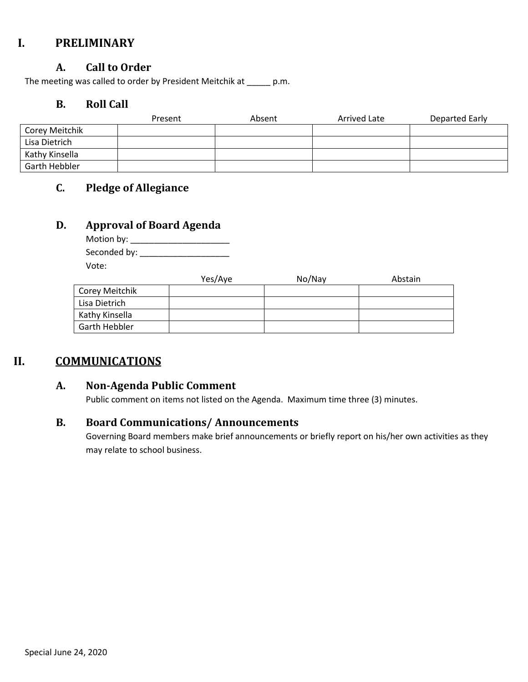## **I. PRELIMINARY**

### **A. Call to Order**

The meeting was called to order by President Meitchik at \_\_\_\_\_ p.m.

#### **B. Roll Call**

|                | Present | Absent | Arrived Late | Departed Early |
|----------------|---------|--------|--------------|----------------|
| Corey Meitchik |         |        |              |                |
| Lisa Dietrich  |         |        |              |                |
| Kathy Kinsella |         |        |              |                |
| Garth Hebbler  |         |        |              |                |

## **C. Pledge of Allegiance**

### **D. Approval of Board Agenda**

| Motion by:   |  |
|--------------|--|
| Seconded by: |  |
| Vote:        |  |

|                | Yes/Aye | No/Nay | Abstain |
|----------------|---------|--------|---------|
| Corey Meitchik |         |        |         |
| Lisa Dietrich  |         |        |         |
| Kathy Kinsella |         |        |         |
| Garth Hebbler  |         |        |         |

## **II. COMMUNICATIONS**

## **A. Non-Agenda Public Comment**

Public comment on items not listed on the Agenda. Maximum time three (3) minutes.

### **B. Board Communications/ Announcements**

Governing Board members make brief announcements or briefly report on his/her own activities as they may relate to school business.